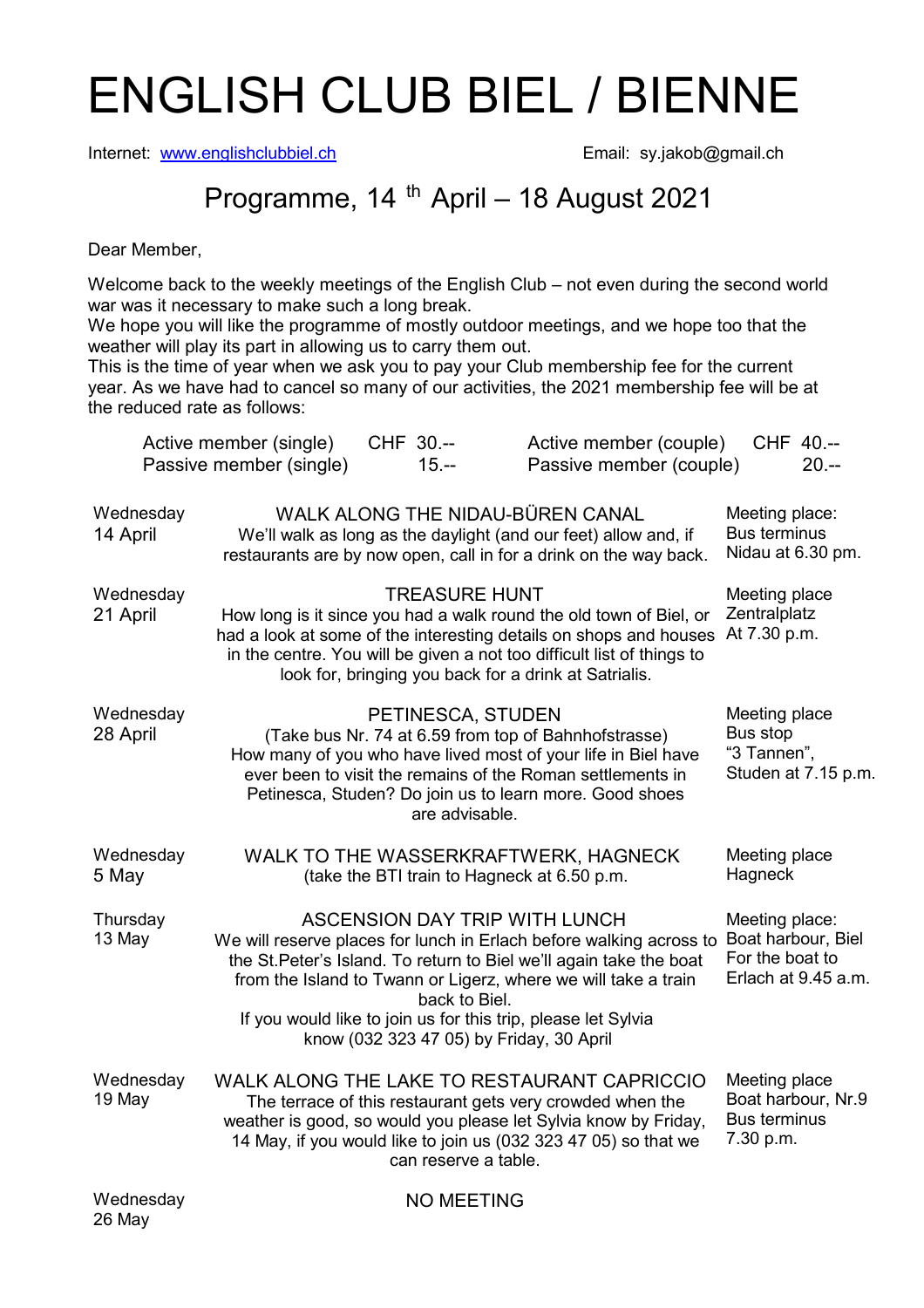## ENGLISH CLUB BIEL / BIENNE

Internet: www.englishclubbiel.ch Email: sy.jakob@gmail.ch

## Programme, 14<sup>th</sup> April – 18 August 2021

Dear Member,

Welcome back to the weekly meetings of the English Club – not even during the second world war was it necessary to make such a long break.

We hope you will like the programme of mostly outdoor meetings, and we hope too that the weather will play its part in allowing us to carry them out.

This is the time of year when we ask you to pay your Club membership fee for the current year. As we have had to cancel so many of our activities, the 2021 membership fee will be at the reduced rate as follows:

|                       | Active member (single)<br>Passive member (single) | CHF 30.--<br>$15. - -$                                    | Active member (couple)<br>Passive member (couple)                                                                                                                                                                                                                                                                     | CHF 40.--<br>$20 -$                                                            |
|-----------------------|---------------------------------------------------|-----------------------------------------------------------|-----------------------------------------------------------------------------------------------------------------------------------------------------------------------------------------------------------------------------------------------------------------------------------------------------------------------|--------------------------------------------------------------------------------|
| Wednesday<br>14 April |                                                   |                                                           | WALK ALONG THE NIDAU-BÜREN CANAL<br>We'll walk as long as the daylight (and our feet) allow and, if<br>restaurants are by now open, call in for a drink on the way back.                                                                                                                                              | Meeting place:<br><b>Bus terminus</b><br>Nidau at 6.30 pm.                     |
| Wednesday<br>21 April |                                                   | <b>TREASURE HUNT</b>                                      | How long is it since you had a walk round the old town of Biel, or<br>had a look at some of the interesting details on shops and houses<br>in the centre. You will be given a not too difficult list of things to<br>look for, bringing you back for a drink at Satrialis.                                            | Meeting place<br>Zentralplatz<br>At 7.30 p.m.                                  |
| Wednesday<br>28 April |                                                   | PETINESCA, STUDEN<br>are advisable.                       | (Take bus Nr. 74 at 6.59 from top of Bahnhofstrasse)<br>How many of you who have lived most of your life in Biel have<br>ever been to visit the remains of the Roman settlements in<br>Petinesca, Studen? Do join us to learn more. Good shoes                                                                        | Meeting place<br>Bus stop<br>"3 Tannen",<br>Studen at 7.15 p.m.                |
| Wednesday<br>5 May    |                                                   |                                                           | WALK TO THE WASSERKRAFTWERK, HAGNECK<br>(take the BTI train to Hagneck at 6.50 p.m.)                                                                                                                                                                                                                                  | Meeting place<br>Hagneck                                                       |
| Thursday<br>13 May    |                                                   | back to Biel.<br>know (032 323 47 05) by Friday, 30 April | <b>ASCENSION DAY TRIP WITH LUNCH</b><br>We will reserve places for lunch in Erlach before walking across to<br>the St. Peter's Island. To return to Biel we'll again take the boat<br>from the Island to Twann or Ligerz, where we will take a train<br>If you would like to join us for this trip, please let Sylvia | Meeting place:<br>Boat harbour, Biel<br>For the boat to<br>Erlach at 9.45 a.m. |
| Wednesday<br>19 May   |                                                   | can reserve a table.                                      | WALK ALONG THE LAKE TO RESTAURANT CAPRICCIO<br>The terrace of this restaurant gets very crowded when the<br>weather is good, so would you please let Sylvia know by Friday,<br>14 May, if you would like to join us (032 323 47 05) so that we                                                                        | Meeting place<br>Boat harbour, Nr.9<br><b>Bus terminus</b><br>7.30 p.m.        |
| Wednesday<br>26 May   |                                                   | <b>NO MEETING</b>                                         |                                                                                                                                                                                                                                                                                                                       |                                                                                |